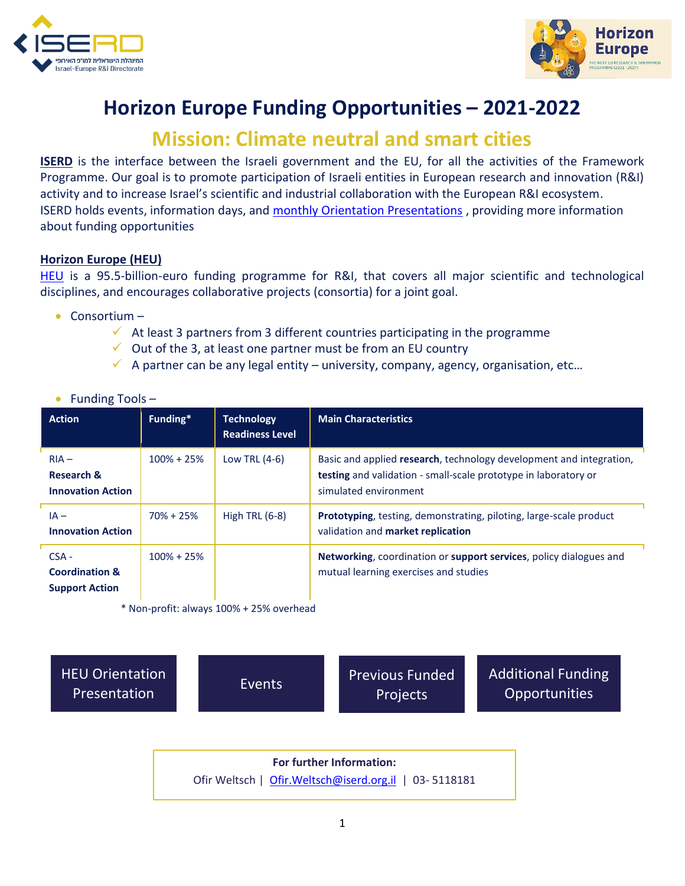



## **Horizon Europe Funding Opportunities – 2021-2022**

## **Mission: Climate neutral and smart cities**

**ISERD** is the interface between the Israeli government and the EU, for all the activities of the Framework Programme. Our goal is to promote participation of Israeli entities in European research and innovation (R&I) activity and to increase Israel's scientific and industrial collaboration with the European R&I ecosystem. ISERD holds events, information days, and [monthly Orientation Presentations](https://www.innovationisrael.org.il/ISERD/page/news-events) , providing more information about funding opportunities

## **Horizon Europe (HEU)**

[HEU](https://ec.europa.eu/info/horizon-europe_en) is a 95.5-billion-euro funding programme for R&I, that covers all major scientific and technological disciplines, and encourages collaborative projects (consortia) for a joint goal.

- Consortium
	- $\checkmark$  At least 3 partners from 3 different countries participating in the programme
	- $\checkmark$  Out of the 3, at least one partner must be from an EU country
	- $\checkmark$  A partner can be any legal entity university, company, agency, organisation, etc...

|  | Funding Tools- |  |  |
|--|----------------|--|--|
|--|----------------|--|--|

| <b>Action</b>                                                 | Funding*       | <b>Technology</b><br><b>Readiness Level</b> | <b>Main Characteristics</b>                                                                                                                                            |
|---------------------------------------------------------------|----------------|---------------------------------------------|------------------------------------------------------------------------------------------------------------------------------------------------------------------------|
| $RIA -$<br><b>Research &amp;</b><br><b>Innovation Action</b>  | $100\% + 25\%$ | Low TRL $(4-6)$                             | Basic and applied research, technology development and integration,<br><b>testing</b> and validation - small-scale prototype in laboratory or<br>simulated environment |
| $IA -$<br><b>Innovation Action</b>                            | $70\% + 25\%$  | High TRL $(6-8)$                            | Prototyping, testing, demonstrating, piloting, large-scale product<br>validation and market replication                                                                |
| $CSA -$<br><b>Coordination &amp;</b><br><b>Support Action</b> | $100\% + 25\%$ |                                             | Networking, coordination or support services, policy dialogues and<br>mutual learning exercises and studies                                                            |

\* Non-profit: always 100% + 25% overhead

[HEU Orientation](https://www.youtube.com/playlist?list=PL_qAG9k4QGULhTQ0HUKtVdFDIPe8zBUbZ) 

EU Orientation [Events](https://www.innovationisrael.org.il/ISERD/page/news-events)<br>Presentation Events Projects Projects

[Additional Funding](https://www.innovationisrael.org.il/ISERD/page/what-am-i-looking)  **Opportunities** 

**For further Information:**  Ofir Weltsch | [Ofir.Weltsch@iserd.org.il](mailto:Ofir.Weltsch@iserd.org.il) | 03- 5118181